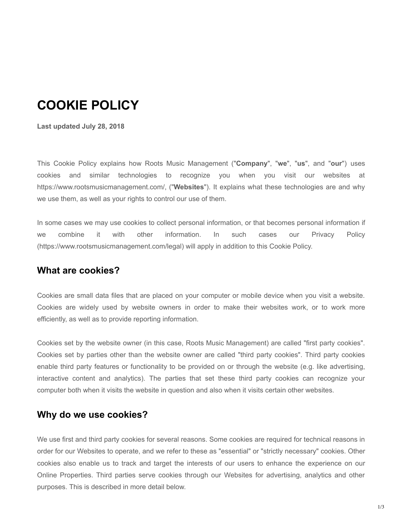# **COOKIE POLICY**

**Last updated July 28, 2018**

This Cookie Policy explains how Roots Music Management ("**Company**", "**we**", "**us**", and "**our**") uses cookies and similar technologies to recognize you when you visit our websites at https://www.rootsmusicmanagement.com/, ("**Websites**"). It explains what these technologies are and why we use them, as well as your rights to control our use of them.

In some cases we may use cookies to collect personal information, or that becomes personal information if we combine it with other information. In such cases our Privacy Policy (https://www.rootsmusicmanagement.com/legal) will apply in addition to this Cookie Policy.

### **What are cookies?**

Cookies are small data files that are placed on your computer or mobile device when you visit a website. Cookies are widely used by website owners in order to make their websites work, or to work more efficiently, as well as to provide reporting information.

Cookies set by the website owner (in this case, Roots Music Management) are called "first party cookies". Cookies set by parties other than the website owner are called "third party cookies". Third party cookies enable third party features or functionality to be provided on or through the website (e.g. like advertising, interactive content and analytics). The parties that set these third party cookies can recognize your computer both when it visits the website in question and also when it visits certain other websites.

### **Why do we use cookies?**

We use first and third party cookies for several reasons. Some cookies are required for technical reasons in order for our Websites to operate, and we refer to these as "essential" or "strictly necessary" cookies. Other cookies also enable us to track and target the interests of our users to enhance the experience on our Online Properties. Third parties serve cookies through our Websites for advertising, analytics and other purposes. This is described in more detail below.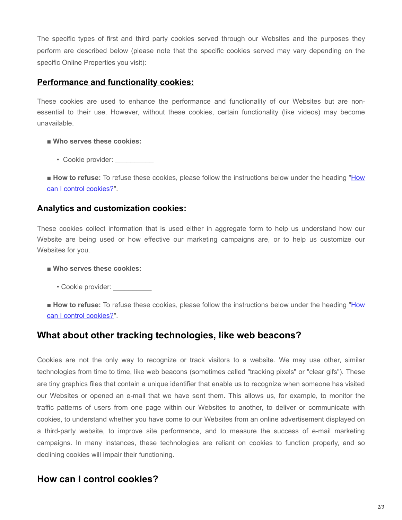The specific types of first and third party cookies served through our Websites and the purposes they perform are described below (please note that the specific cookies served may vary depending on the specific Online Properties you visit):

### **Performance and functionality cookies:**

These cookies are used to enhance the performance and functionality of our Websites but are nonessential to their use. However, without these cookies, certain functionality (like videos) may become unavailable.

- **Who serves these cookies:**
	- Cookie provider:

■ **How to refuse:** To refuse these cookies, please follow the instructions below under the heading "How can I control cookies?".

### **Analytics and customization cookies:**

These cookies collect information that is used either in aggregate form to help us understand how our Website are being used or how effective our marketing campaigns are, or to help us customize our Websites for you.

#### ■ **Who serves these cookies:**

• Cookie provider:

■ **How to refuse:** To refuse these cookies, please follow the instructions below under the heading "How can I control cookies?".

## **What about other tracking technologies, like web beacons?**

Cookies are not the only way to recognize or track visitors to a website. We may use other, similar technologies from time to time, like web beacons (sometimes called "tracking pixels" or "clear gifs"). These are tiny graphics files that contain a unique identifier that enable us to recognize when someone has visited our Websites or opened an e-mail that we have sent them. This allows us, for example, to monitor the traffic patterns of users from one page within our Websites to another, to deliver or communicate with cookies, to understand whether you have come to our Websites from an online advertisement displayed on a third-party website, to improve site performance, and to measure the success of e-mail marketing campaigns. In many instances, these technologies are reliant on cookies to function properly, and so declining cookies will impair their functioning.

# **How can I control cookies?**